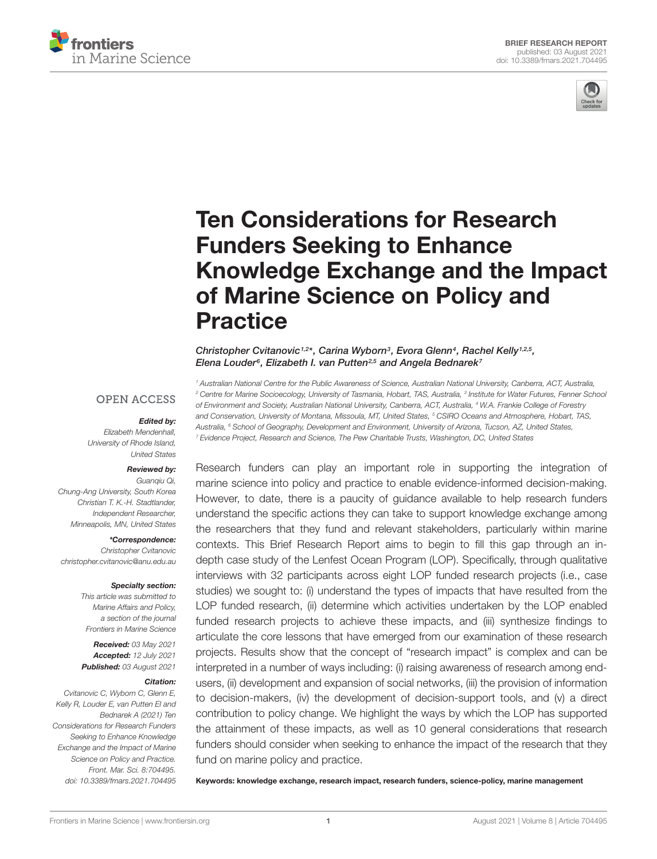



# Ten Considerations for Research Funders Seeking to Enhance [Knowledge Exchange and the Impact](https://www.frontiersin.org/articles/10.3389/fmars.2021.704495/full) of Marine Science on Policy and Practice

Christopher Cvitanovic<sup>1,2\*</sup>, Carina Wyborn<sup>3</sup>, Evora Glenn<sup>4</sup>, Rachel Kelly<sup>1,2,5</sup>, Elena Louder<sup>s</sup>, Elizabeth I. van Putten<sup>2,5</sup> and Angela Bednarek<sup>7</sup>

**OPEN ACCESS** 

#### Edited by:

Elizabeth Mendenhall, University of Rhode Island, United States

#### Reviewed by:

Guanqiu Qi, Chung-Ang University, South Korea Christian T. K.-H. Stadtlander, Independent Researcher, Minneapolis, MN, United States

#### \*Correspondence:

Christopher Cvitanovic christopher.cvitanovic@anu.edu.au

#### Specialty section:

This article was submitted to Marine Affairs and Policy, a section of the journal Frontiers in Marine Science

Received: 03 May 2021 Accepted: 12 July 2021 Published: 03 August 2021

#### Citation:

Cvitanovic C, Wyborn C, Glenn E, Kelly R, Louder E, van Putten EI and Bednarek A (2021) Ten Considerations for Research Funders Seeking to Enhance Knowledge Exchange and the Impact of Marine Science on Policy and Practice. Front. Mar. Sci. 8:704495. doi: [10.3389/fmars.2021.704495](https://doi.org/10.3389/fmars.2021.704495) <sup>1</sup> Australian National Centre for the Public Awareness of Science, Australian National University, Canberra, ACT, Australia, <sup>2</sup> Centre for Marine Socioecology, University of Tasmania, Hobart, TAS, Australia, <sup>3</sup> Institute for Water Futures, Fenner Schoo. of Environment and Society, Australian National University, Canberra, ACT, Australia, <sup>4</sup> W.A. Frankie College of Forestry and Conservation, University of Montana, Missoula, MT, United States, <sup>5</sup> CSIRO Oceans and Atmosphere. Hobart. TAS. Australia, <sup>6</sup> School of Geography, Development and Environment, University of Arizona, Tucson, AZ, United States, <sup>7</sup> Evidence Project, Research and Science, The Pew Charitable Trusts, Washington, DC, United States

Research funders can play an important role in supporting the integration of marine science into policy and practice to enable evidence-informed decision-making. However, to date, there is a paucity of guidance available to help research funders understand the specific actions they can take to support knowledge exchange among the researchers that they fund and relevant stakeholders, particularly within marine contexts. This Brief Research Report aims to begin to fill this gap through an indepth case study of the Lenfest Ocean Program (LOP). Specifically, through qualitative interviews with 32 participants across eight LOP funded research projects (i.e., case studies) we sought to: (i) understand the types of impacts that have resulted from the LOP funded research, (ii) determine which activities undertaken by the LOP enabled funded research projects to achieve these impacts, and (iii) synthesize findings to articulate the core lessons that have emerged from our examination of these research projects. Results show that the concept of "research impact" is complex and can be interpreted in a number of ways including: (i) raising awareness of research among endusers, (ii) development and expansion of social networks, (iii) the provision of information to decision-makers, (iv) the development of decision-support tools, and (v) a direct contribution to policy change. We highlight the ways by which the LOP has supported the attainment of these impacts, as well as 10 general considerations that research funders should consider when seeking to enhance the impact of the research that they fund on marine policy and practice.

Keywords: knowledge exchange, research impact, research funders, science-policy, marine management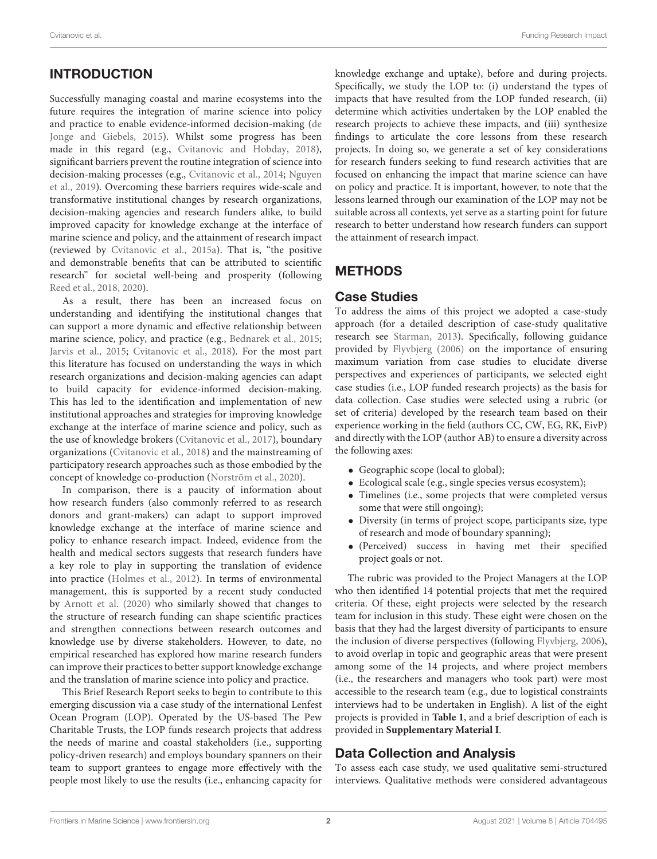# INTRODUCTION

Successfully managing coastal and marine ecosystems into the future requires the integration of marine science into policy and practice to enable evidence-informed decision-making [\(de](#page-7-0) [Jonge and Giebels,](#page-7-0) [2015\)](#page-7-0). Whilst some progress has been made in this regard (e.g., [Cvitanovic and Hobday,](#page-7-1) [2018\)](#page-7-1), significant barriers prevent the routine integration of science into decision-making processes (e.g., [Cvitanovic et al.,](#page-7-2) [2014;](#page-7-2) [Nguyen](#page-7-3) [et al.,](#page-7-3) [2019\)](#page-7-3). Overcoming these barriers requires wide-scale and transformative institutional changes by research organizations, decision-making agencies and research funders alike, to build improved capacity for knowledge exchange at the interface of marine science and policy, and the attainment of research impact (reviewed by [Cvitanovic et al.,](#page-7-4) [2015a\)](#page-7-4). That is, "the positive and demonstrable benefits that can be attributed to scientific research" for societal well-being and prosperity (following [Reed et al.,](#page-8-0) [2018,](#page-8-0) [2020\)](#page-8-1).

As a result, there has been an increased focus on understanding and identifying the institutional changes that can support a more dynamic and effective relationship between marine science, policy, and practice (e.g., [Bednarek et al.,](#page-7-5) [2015;](#page-7-5) [Jarvis et al.,](#page-7-6) [2015;](#page-7-6) [Cvitanovic et al.,](#page-7-7) [2018\)](#page-7-7). For the most part this literature has focused on understanding the ways in which research organizations and decision-making agencies can adapt to build capacity for evidence-informed decision-making. This has led to the identification and implementation of new institutional approaches and strategies for improving knowledge exchange at the interface of marine science and policy, such as the use of knowledge brokers [\(Cvitanovic et al.,](#page-7-8) [2017\)](#page-7-8), boundary organizations [\(Cvitanovic et al.,](#page-7-7) [2018\)](#page-7-7) and the mainstreaming of participatory research approaches such as those embodied by the concept of knowledge co-production [\(Norström et al.,](#page-7-9) [2020\)](#page-7-9).

In comparison, there is a paucity of information about how research funders (also commonly referred to as research donors and grant-makers) can adapt to support improved knowledge exchange at the interface of marine science and policy to enhance research impact. Indeed, evidence from the health and medical sectors suggests that research funders have a key role to play in supporting the translation of evidence into practice [\(Holmes et al.,](#page-7-10) [2012\)](#page-7-10). In terms of environmental management, this is supported by a recent study conducted by [Arnott et al.](#page-7-11) [\(2020\)](#page-7-11) who similarly showed that changes to the structure of research funding can shape scientific practices and strengthen connections between research outcomes and knowledge use by diverse stakeholders. However, to date, no empirical researched has explored how marine research funders can improve their practices to better support knowledge exchange and the translation of marine science into policy and practice.

This Brief Research Report seeks to begin to contribute to this emerging discussion via a case study of the international Lenfest Ocean Program (LOP). Operated by the US-based The Pew Charitable Trusts, the LOP funds research projects that address the needs of marine and coastal stakeholders (i.e., supporting policy-driven research) and employs boundary spanners on their team to support grantees to engage more effectively with the people most likely to use the results (i.e., enhancing capacity for

knowledge exchange and uptake), before and during projects. Specifically, we study the LOP to: (i) understand the types of impacts that have resulted from the LOP funded research, (ii) determine which activities undertaken by the LOP enabled the research projects to achieve these impacts, and (iii) synthesize findings to articulate the core lessons from these research projects. In doing so, we generate a set of key considerations for research funders seeking to fund research activities that are focused on enhancing the impact that marine science can have on policy and practice. It is important, however, to note that the lessons learned through our examination of the LOP may not be suitable across all contexts, yet serve as a starting point for future research to better understand how research funders can support the attainment of research impact.

# **METHODS**

## Case Studies

To address the aims of this project we adopted a case-study approach (for a detailed description of case-study qualitative research see [Starman,](#page-8-2) [2013\)](#page-8-2). Specifically, following guidance provided by [Flyvbjerg](#page-7-12) [\(2006\)](#page-7-12) on the importance of ensuring maximum variation from case studies to elucidate diverse perspectives and experiences of participants, we selected eight case studies (i.e., LOP funded research projects) as the basis for data collection. Case studies were selected using a rubric (or set of criteria) developed by the research team based on their experience working in the field (authors CC, CW, EG, RK, EivP) and directly with the LOP (author AB) to ensure a diversity across the following axes:

- Geographic scope (local to global);
- Ecological scale (e.g., single species versus ecosystem);
- Timelines (i.e., some projects that were completed versus some that were still ongoing);
- Diversity (in terms of project scope, participants size, type of research and mode of boundary spanning);
- (Perceived) success in having met their specified project goals or not.

The rubric was provided to the Project Managers at the LOP who then identified 14 potential projects that met the required criteria. Of these, eight projects were selected by the research team for inclusion in this study. These eight were chosen on the basis that they had the largest diversity of participants to ensure the inclusion of diverse perspectives (following [Flyvbjerg,](#page-7-12) [2006\)](#page-7-12), to avoid overlap in topic and geographic areas that were present among some of the 14 projects, and where project members (i.e., the researchers and managers who took part) were most accessible to the research team (e.g., due to logistical constraints interviews had to be undertaken in English). A list of the eight projects is provided in **[Table 1](#page-2-0)**, and a brief description of each is provided in **[Supplementary Material I](#page-7-13)**.

# Data Collection and Analysis

To assess each case study, we used qualitative semi-structured interviews. Qualitative methods were considered advantageous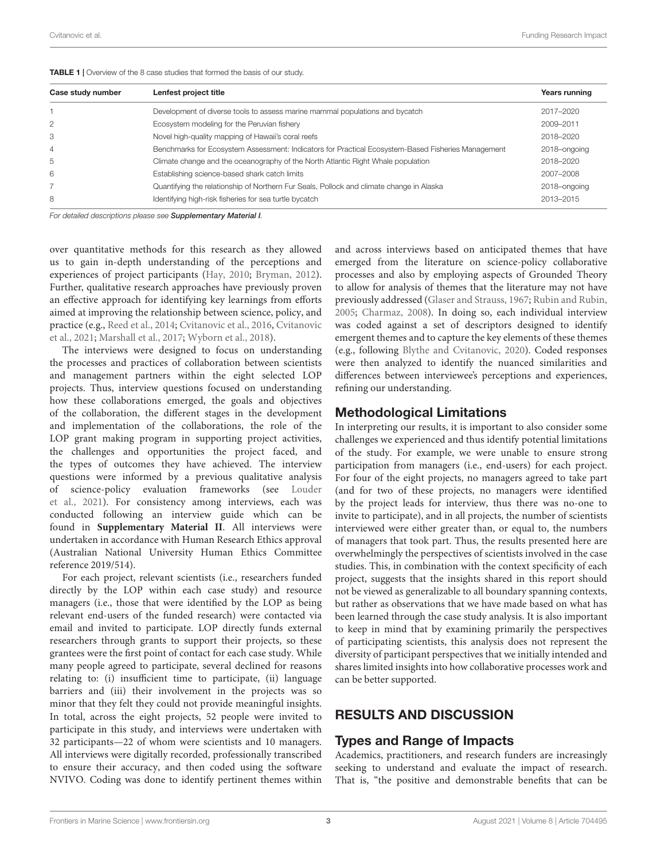| Case study number | Lenfest project title                                                                              | Years running |
|-------------------|----------------------------------------------------------------------------------------------------|---------------|
|                   | Development of diverse tools to assess marine mammal populations and bycatch                       | 2017-2020     |
| $\overline{2}$    | Ecosystem modeling for the Peruvian fishery                                                        | 2009-2011     |
| 3                 | Novel high-quality mapping of Hawaii's coral reefs                                                 | 2018-2020     |
| 4                 | Benchmarks for Ecosystem Assessment: Indicators for Practical Ecosystem-Based Fisheries Management | 2018-ongoing  |
| 5                 | Climate change and the oceanography of the North Atlantic Right Whale population                   | 2018-2020     |
| 6                 | Establishing science-based shark catch limits                                                      | 2007-2008     |
|                   | Quantifying the relationship of Northern Fur Seals, Pollock and climate change in Alaska           | 2018-ongoing  |
| 8                 | Identifying high-risk fisheries for sea turtle bycatch                                             | 2013-2015     |

<span id="page-2-0"></span>TABLE 1 | Overview of the 8 case studies that formed the basis of our study.

For detailed descriptions please see [Supplementary Material I](#page-7-13).

over quantitative methods for this research as they allowed us to gain in-depth understanding of the perceptions and experiences of project participants [\(Hay,](#page-7-14) [2010;](#page-7-14) [Bryman,](#page-7-15) [2012\)](#page-7-15). Further, qualitative research approaches have previously proven an effective approach for identifying key learnings from efforts aimed at improving the relationship between science, policy, and practice (e.g., [Reed et al.,](#page-8-3) [2014;](#page-8-3) [Cvitanovic et al.,](#page-7-16) [2016,](#page-7-16) [Cvitanovic](#page-7-17) [et al.,](#page-7-17) [2021;](#page-7-17) [Marshall et al.,](#page-7-18) [2017;](#page-7-18) [Wyborn et al.,](#page-8-4) [2018\)](#page-8-4).

The interviews were designed to focus on understanding the processes and practices of collaboration between scientists and management partners within the eight selected LOP projects. Thus, interview questions focused on understanding how these collaborations emerged, the goals and objectives of the collaboration, the different stages in the development and implementation of the collaborations, the role of the LOP grant making program in supporting project activities, the challenges and opportunities the project faced, and the types of outcomes they have achieved. The interview questions were informed by a previous qualitative analysis of science-policy evaluation frameworks (see [Louder](#page-7-19) [et al.,](#page-7-19) [2021\)](#page-7-19). For consistency among interviews, each was conducted following an interview guide which can be found in **[Supplementary Material II](#page-7-13)**. All interviews were undertaken in accordance with Human Research Ethics approval (Australian National University Human Ethics Committee reference 2019/514).

For each project, relevant scientists (i.e., researchers funded directly by the LOP within each case study) and resource managers (i.e., those that were identified by the LOP as being relevant end-users of the funded research) were contacted via email and invited to participate. LOP directly funds external researchers through grants to support their projects, so these grantees were the first point of contact for each case study. While many people agreed to participate, several declined for reasons relating to: (i) insufficient time to participate, (ii) language barriers and (iii) their involvement in the projects was so minor that they felt they could not provide meaningful insights. In total, across the eight projects, 52 people were invited to participate in this study, and interviews were undertaken with 32 participants—22 of whom were scientists and 10 managers. All interviews were digitally recorded, professionally transcribed to ensure their accuracy, and then coded using the software NVIVO. Coding was done to identify pertinent themes within

and across interviews based on anticipated themes that have emerged from the literature on science-policy collaborative processes and also by employing aspects of Grounded Theory to allow for analysis of themes that the literature may not have previously addressed [\(Glaser and Strauss,](#page-7-20) [1967;](#page-7-20) [Rubin and Rubin,](#page-8-5) [2005;](#page-8-5) [Charmaz,](#page-7-21) [2008\)](#page-7-21). In doing so, each individual interview was coded against a set of descriptors designed to identify emergent themes and to capture the key elements of these themes (e.g., following [Blythe and Cvitanovic,](#page-7-22) [2020\)](#page-7-22). Coded responses were then analyzed to identify the nuanced similarities and differences between interviewee's perceptions and experiences, refining our understanding.

### Methodological Limitations

In interpreting our results, it is important to also consider some challenges we experienced and thus identify potential limitations of the study. For example, we were unable to ensure strong participation from managers (i.e., end-users) for each project. For four of the eight projects, no managers agreed to take part (and for two of these projects, no managers were identified by the project leads for interview, thus there was no-one to invite to participate), and in all projects, the number of scientists interviewed were either greater than, or equal to, the numbers of managers that took part. Thus, the results presented here are overwhelmingly the perspectives of scientists involved in the case studies. This, in combination with the context specificity of each project, suggests that the insights shared in this report should not be viewed as generalizable to all boundary spanning contexts, but rather as observations that we have made based on what has been learned through the case study analysis. It is also important to keep in mind that by examining primarily the perspectives of participating scientists, this analysis does not represent the diversity of participant perspectives that we initially intended and shares limited insights into how collaborative processes work and can be better supported.

# RESULTS AND DISCUSSION

## Types and Range of Impacts

Academics, practitioners, and research funders are increasingly seeking to understand and evaluate the impact of research. That is, "the positive and demonstrable benefits that can be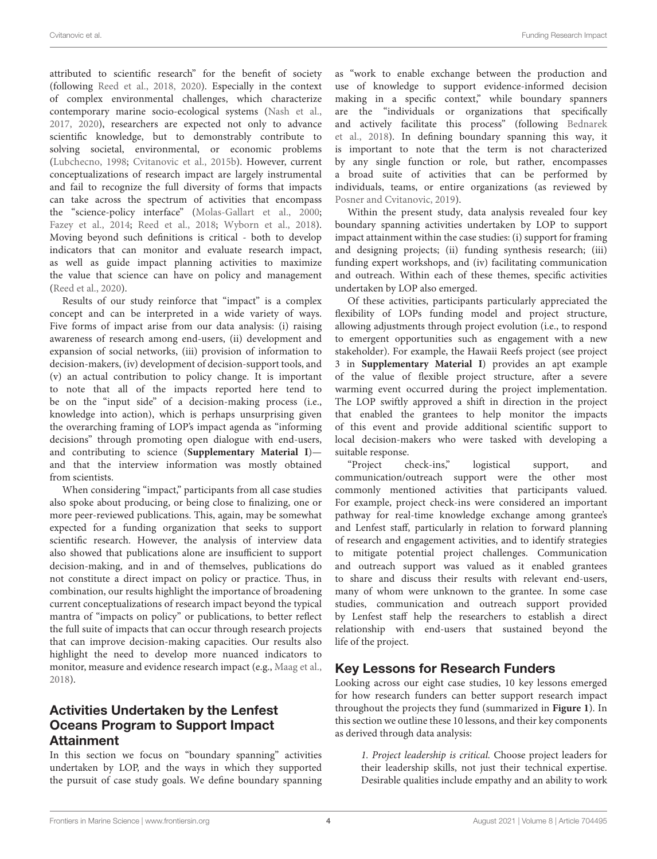attributed to scientific research" for the benefit of society (following [Reed et al.,](#page-8-0) [2018,](#page-8-0) [2020\)](#page-8-1). Especially in the context of complex environmental challenges, which characterize contemporary marine socio-ecological systems [\(Nash et al.,](#page-7-23) [2017,](#page-7-23) [2020\)](#page-7-24), researchers are expected not only to advance scientific knowledge, but to demonstrably contribute to solving societal, environmental, or economic problems [\(Lubchecno,](#page-7-25) [1998;](#page-7-25) [Cvitanovic et al.,](#page-7-26) [2015b\)](#page-7-26). However, current conceptualizations of research impact are largely instrumental and fail to recognize the full diversity of forms that impacts can take across the spectrum of activities that encompass the "science-policy interface" [\(Molas-Gallart et al.,](#page-7-27) [2000;](#page-7-27) [Fazey et al.,](#page-7-28) [2014;](#page-7-28) [Reed et al.,](#page-8-0) [2018;](#page-8-0) [Wyborn et al.,](#page-8-4) [2018\)](#page-8-4). Moving beyond such definitions is critical - both to develop indicators that can monitor and evaluate research impact, as well as guide impact planning activities to maximize the value that science can have on policy and management [\(Reed et al.,](#page-8-1) [2020\)](#page-8-1).

Results of our study reinforce that "impact" is a complex concept and can be interpreted in a wide variety of ways. Five forms of impact arise from our data analysis: (i) raising awareness of research among end-users, (ii) development and expansion of social networks, (iii) provision of information to decision-makers, (iv) development of decision-support tools, and (v) an actual contribution to policy change. It is important to note that all of the impacts reported here tend to be on the "input side" of a decision-making process (i.e., knowledge into action), which is perhaps unsurprising given the overarching framing of LOP's impact agenda as "informing decisions" through promoting open dialogue with end-users, and contributing to science (**[Supplementary Material I](#page-7-13)**) and that the interview information was mostly obtained from scientists.

When considering "impact," participants from all case studies also spoke about producing, or being close to finalizing, one or more peer-reviewed publications. This, again, may be somewhat expected for a funding organization that seeks to support scientific research. However, the analysis of interview data also showed that publications alone are insufficient to support decision-making, and in and of themselves, publications do not constitute a direct impact on policy or practice. Thus, in combination, our results highlight the importance of broadening current conceptualizations of research impact beyond the typical mantra of "impacts on policy" or publications, to better reflect the full suite of impacts that can occur through research projects that can improve decision-making capacities. Our results also highlight the need to develop more nuanced indicators to monitor, measure and evidence research impact (e.g., [Maag et al.,](#page-7-29) [2018\)](#page-7-29).

# Activities Undertaken by the Lenfest Oceans Program to Support Impact Attainment

In this section we focus on "boundary spanning" activities undertaken by LOP, and the ways in which they supported the pursuit of case study goals. We define boundary spanning as "work to enable exchange between the production and use of knowledge to support evidence-informed decision making in a specific context," while boundary spanners are the "individuals or organizations that specifically and actively facilitate this process" (following [Bednarek](#page-7-30) [et al.,](#page-7-30) [2018\)](#page-7-30). In defining boundary spanning this way, it is important to note that the term is not characterized by any single function or role, but rather, encompasses a broad suite of activities that can be performed by individuals, teams, or entire organizations (as reviewed by [Posner and Cvitanovic,](#page-7-31) [2019\)](#page-7-31).

Within the present study, data analysis revealed four key boundary spanning activities undertaken by LOP to support impact attainment within the case studies: (i) support for framing and designing projects; (ii) funding synthesis research; (iii) funding expert workshops, and (iv) facilitating communication and outreach. Within each of these themes, specific activities undertaken by LOP also emerged.

Of these activities, participants particularly appreciated the flexibility of LOPs funding model and project structure, allowing adjustments through project evolution (i.e., to respond to emergent opportunities such as engagement with a new stakeholder). For example, the Hawaii Reefs project (see project 3 in **[Supplementary Material I](#page-7-13)**) provides an apt example of the value of flexible project structure, after a severe warming event occurred during the project implementation. The LOP swiftly approved a shift in direction in the project that enabled the grantees to help monitor the impacts of this event and provide additional scientific support to local decision-makers who were tasked with developing a suitable response.

"Project check-ins," logistical support, and communication/outreach support were the other most commonly mentioned activities that participants valued. For example, project check-ins were considered an important pathway for real-time knowledge exchange among grantee's and Lenfest staff, particularly in relation to forward planning of research and engagement activities, and to identify strategies to mitigate potential project challenges. Communication and outreach support was valued as it enabled grantees to share and discuss their results with relevant end-users, many of whom were unknown to the grantee. In some case studies, communication and outreach support provided by Lenfest staff help the researchers to establish a direct relationship with end-users that sustained beyond the life of the project.

# Key Lessons for Research Funders

Looking across our eight case studies, 10 key lessons emerged for how research funders can better support research impact throughout the projects they fund (summarized in **[Figure 1](#page-4-0)**). In this section we outline these 10 lessons, and their key components as derived through data analysis:

1. Project leadership is critical. Choose project leaders for their leadership skills, not just their technical expertise. Desirable qualities include empathy and an ability to work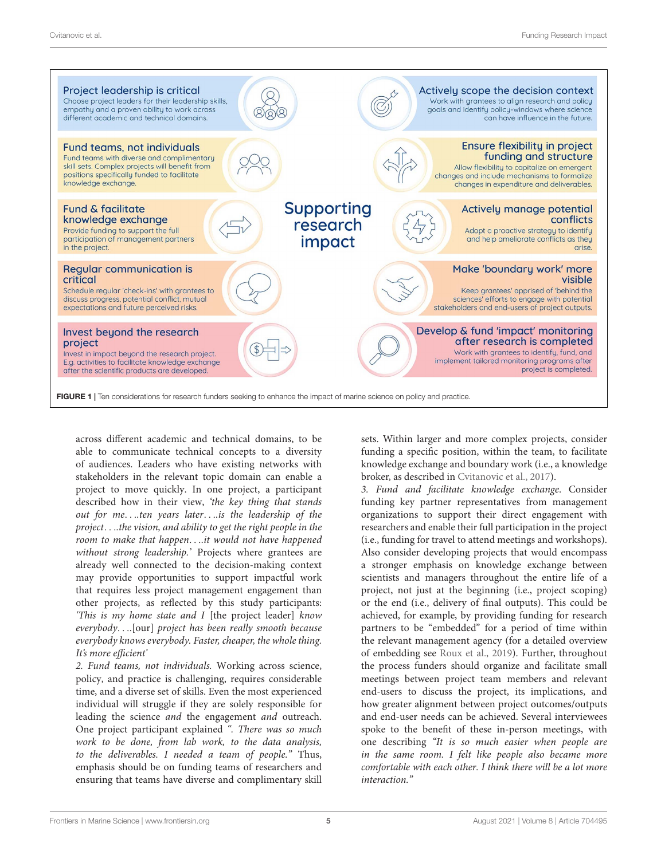

<span id="page-4-0"></span>across different academic and technical domains, to be able to communicate technical concepts to a diversity of audiences. Leaders who have existing networks with stakeholders in the relevant topic domain can enable a project to move quickly. In one project, a participant described how in their view, 'the key thing that stands out for me. . ..ten years later. . ..is the leadership of the project. . ..the vision, and ability to get the right people in the room to make that happen. . ..it would not have happened without strong leadership.' Projects where grantees are already well connected to the decision-making context may provide opportunities to support impactful work that requires less project management engagement than other projects, as reflected by this study participants: 'This is my home state and I [the project leader] know everybody. . ..[our] project has been really smooth because everybody knows everybody. Faster, cheaper, the whole thing. It's more efficient'

2. Fund teams, not individuals. Working across science, policy, and practice is challenging, requires considerable time, and a diverse set of skills. Even the most experienced individual will struggle if they are solely responsible for leading the science and the engagement and outreach. One project participant explained ". There was so much work to be done, from lab work, to the data analysis, to the deliverables. I needed a team of people." Thus, emphasis should be on funding teams of researchers and ensuring that teams have diverse and complimentary skill

sets. Within larger and more complex projects, consider funding a specific position, within the team, to facilitate knowledge exchange and boundary work (i.e., a knowledge broker, as described in [Cvitanovic et al.,](#page-7-8) [2017\)](#page-7-8).

3. Fund and facilitate knowledge exchange. Consider funding key partner representatives from management organizations to support their direct engagement with researchers and enable their full participation in the project (i.e., funding for travel to attend meetings and workshops). Also consider developing projects that would encompass a stronger emphasis on knowledge exchange between scientists and managers throughout the entire life of a project, not just at the beginning (i.e., project scoping) or the end (i.e., delivery of final outputs). This could be achieved, for example, by providing funding for research partners to be "embedded" for a period of time within the relevant management agency (for a detailed overview of embedding see [Roux et al.,](#page-8-6) [2019\)](#page-8-6). Further, throughout the process funders should organize and facilitate small meetings between project team members and relevant end-users to discuss the project, its implications, and how greater alignment between project outcomes/outputs and end-user needs can be achieved. Several interviewees spoke to the benefit of these in-person meetings, with one describing "It is so much easier when people are in the same room. I felt like people also became more comfortable with each other. I think there will be a lot more interaction."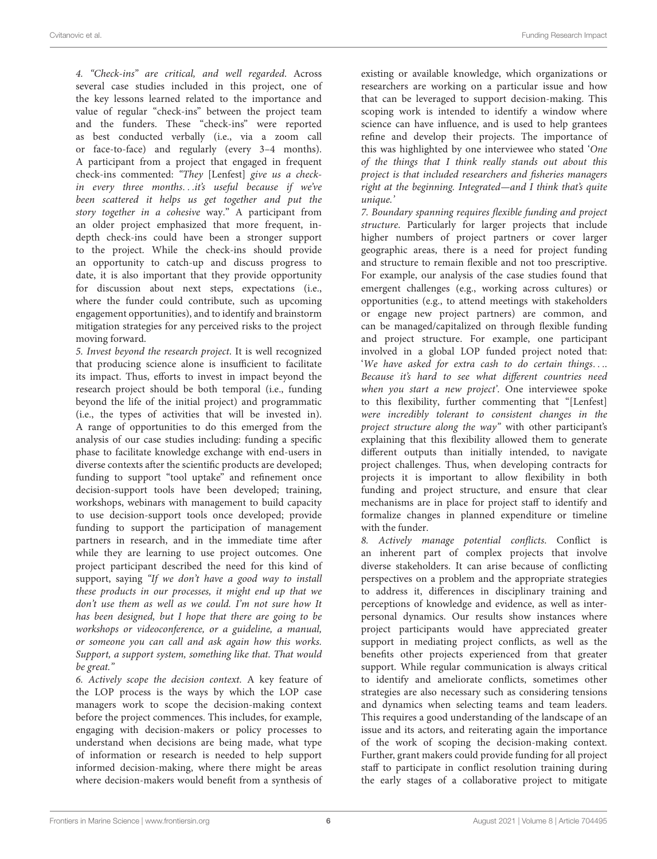4. "Check-ins" are critical, and well regarded. Across several case studies included in this project, one of the key lessons learned related to the importance and value of regular "check-ins" between the project team and the funders. These "check-ins" were reported as best conducted verbally (i.e., via a zoom call or face-to-face) and regularly (every 3–4 months). A participant from a project that engaged in frequent check-ins commented: "They [Lenfest] give us a checkin every three months...it's useful because if we've been scattered it helps us get together and put the story together in a cohesive way." A participant from an older project emphasized that more frequent, indepth check-ins could have been a stronger support to the project. While the check-ins should provide an opportunity to catch-up and discuss progress to date, it is also important that they provide opportunity for discussion about next steps, expectations (i.e., where the funder could contribute, such as upcoming engagement opportunities), and to identify and brainstorm mitigation strategies for any perceived risks to the project moving forward.

5. Invest beyond the research project. It is well recognized that producing science alone is insufficient to facilitate its impact. Thus, efforts to invest in impact beyond the research project should be both temporal (i.e., funding beyond the life of the initial project) and programmatic (i.e., the types of activities that will be invested in). A range of opportunities to do this emerged from the analysis of our case studies including: funding a specific phase to facilitate knowledge exchange with end-users in diverse contexts after the scientific products are developed; funding to support "tool uptake" and refinement once decision-support tools have been developed; training, workshops, webinars with management to build capacity to use decision-support tools once developed; provide funding to support the participation of management partners in research, and in the immediate time after while they are learning to use project outcomes. One project participant described the need for this kind of support, saying "If we don't have a good way to install these products in our processes, it might end up that we don't use them as well as we could. I'm not sure how It has been designed, but I hope that there are going to be workshops or videoconference, or a guideline, a manual, or someone you can call and ask again how this works. Support, a support system, something like that. That would be great."

6. Actively scope the decision context. A key feature of the LOP process is the ways by which the LOP case managers work to scope the decision-making context before the project commences. This includes, for example, engaging with decision-makers or policy processes to understand when decisions are being made, what type of information or research is needed to help support informed decision-making, where there might be areas where decision-makers would benefit from a synthesis of

existing or available knowledge, which organizations or researchers are working on a particular issue and how that can be leveraged to support decision-making. This scoping work is intended to identify a window where science can have influence, and is used to help grantees refine and develop their projects. The importance of this was highlighted by one interviewee who stated 'One of the things that I think really stands out about this project is that included researchers and fisheries managers right at the beginning. Integrated—and I think that's quite unique.'

7. Boundary spanning requires flexible funding and project structure. Particularly for larger projects that include higher numbers of project partners or cover larger geographic areas, there is a need for project funding and structure to remain flexible and not too prescriptive. For example, our analysis of the case studies found that emergent challenges (e.g., working across cultures) or opportunities (e.g., to attend meetings with stakeholders or engage new project partners) are common, and can be managed/capitalized on through flexible funding and project structure. For example, one participant involved in a global LOP funded project noted that: 'We have asked for extra cash to do certain things. . .. Because it's hard to see what different countries need when you start a new project'. One interviewee spoke to this flexibility, further commenting that "[Lenfest] were incredibly tolerant to consistent changes in the project structure along the way" with other participant's explaining that this flexibility allowed them to generate different outputs than initially intended, to navigate project challenges. Thus, when developing contracts for projects it is important to allow flexibility in both funding and project structure, and ensure that clear mechanisms are in place for project staff to identify and formalize changes in planned expenditure or timeline with the funder.

8. Actively manage potential conflicts. Conflict is an inherent part of complex projects that involve diverse stakeholders. It can arise because of conflicting perspectives on a problem and the appropriate strategies to address it, differences in disciplinary training and perceptions of knowledge and evidence, as well as interpersonal dynamics. Our results show instances where project participants would have appreciated greater support in mediating project conflicts, as well as the benefits other projects experienced from that greater support. While regular communication is always critical to identify and ameliorate conflicts, sometimes other strategies are also necessary such as considering tensions and dynamics when selecting teams and team leaders. This requires a good understanding of the landscape of an issue and its actors, and reiterating again the importance of the work of scoping the decision-making context. Further, grant makers could provide funding for all project staff to participate in conflict resolution training during the early stages of a collaborative project to mitigate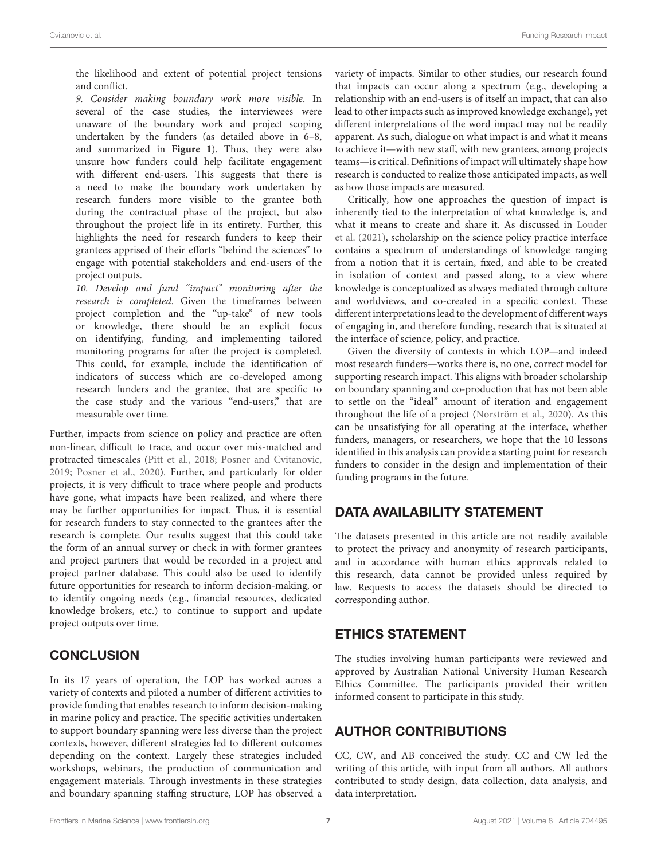the likelihood and extent of potential project tensions and conflict.

9. Consider making boundary work more visible. In several of the case studies, the interviewees were unaware of the boundary work and project scoping undertaken by the funders (as detailed above in 6–8, and summarized in **[Figure 1](#page-4-0)**). Thus, they were also unsure how funders could help facilitate engagement with different end-users. This suggests that there is a need to make the boundary work undertaken by research funders more visible to the grantee both during the contractual phase of the project, but also throughout the project life in its entirety. Further, this highlights the need for research funders to keep their grantees apprised of their efforts "behind the sciences" to engage with potential stakeholders and end-users of the project outputs.

10. Develop and fund "impact" monitoring after the research is completed. Given the timeframes between project completion and the "up-take" of new tools or knowledge, there should be an explicit focus on identifying, funding, and implementing tailored monitoring programs for after the project is completed. This could, for example, include the identification of indicators of success which are co-developed among research funders and the grantee, that are specific to the case study and the various "end-users," that are measurable over time.

Further, impacts from science on policy and practice are often non-linear, difficult to trace, and occur over mis-matched and protracted timescales [\(Pitt et al.,](#page-7-32) [2018;](#page-7-32) [Posner and Cvitanovic,](#page-7-31) [2019;](#page-7-31) [Posner et al.,](#page-8-7) [2020\)](#page-8-7). Further, and particularly for older projects, it is very difficult to trace where people and products have gone, what impacts have been realized, and where there may be further opportunities for impact. Thus, it is essential for research funders to stay connected to the grantees after the research is complete. Our results suggest that this could take the form of an annual survey or check in with former grantees and project partners that would be recorded in a project and project partner database. This could also be used to identify future opportunities for research to inform decision-making, or to identify ongoing needs (e.g., financial resources, dedicated knowledge brokers, etc.) to continue to support and update project outputs over time.

## **CONCLUSION**

In its 17 years of operation, the LOP has worked across a variety of contexts and piloted a number of different activities to provide funding that enables research to inform decision-making in marine policy and practice. The specific activities undertaken to support boundary spanning were less diverse than the project contexts, however, different strategies led to different outcomes depending on the context. Largely these strategies included workshops, webinars, the production of communication and engagement materials. Through investments in these strategies and boundary spanning staffing structure, LOP has observed a

variety of impacts. Similar to other studies, our research found that impacts can occur along a spectrum (e.g., developing a relationship with an end-users is of itself an impact, that can also lead to other impacts such as improved knowledge exchange), yet different interpretations of the word impact may not be readily apparent. As such, dialogue on what impact is and what it means to achieve it—with new staff, with new grantees, among projects teams—is critical. Definitions of impact will ultimately shape how research is conducted to realize those anticipated impacts, as well as how those impacts are measured.

Critically, how one approaches the question of impact is inherently tied to the interpretation of what knowledge is, and what it means to create and share it. As discussed in [Louder](#page-7-19) [et al.](#page-7-19) [\(2021\)](#page-7-19), scholarship on the science policy practice interface contains a spectrum of understandings of knowledge ranging from a notion that it is certain, fixed, and able to be created in isolation of context and passed along, to a view where knowledge is conceptualized as always mediated through culture and worldviews, and co-created in a specific context. These different interpretations lead to the development of different ways of engaging in, and therefore funding, research that is situated at the interface of science, policy, and practice.

Given the diversity of contexts in which LOP—and indeed most research funders—works there is, no one, correct model for supporting research impact. This aligns with broader scholarship on boundary spanning and co-production that has not been able to settle on the "ideal" amount of iteration and engagement throughout the life of a project [\(Norström et al.,](#page-7-9) [2020\)](#page-7-9). As this can be unsatisfying for all operating at the interface, whether funders, managers, or researchers, we hope that the 10 lessons identified in this analysis can provide a starting point for research funders to consider in the design and implementation of their funding programs in the future.

# DATA AVAILABILITY STATEMENT

The datasets presented in this article are not readily available to protect the privacy and anonymity of research participants, and in accordance with human ethics approvals related to this research, data cannot be provided unless required by law. Requests to access the datasets should be directed to corresponding author.

## ETHICS STATEMENT

The studies involving human participants were reviewed and approved by Australian National University Human Research Ethics Committee. The participants provided their written informed consent to participate in this study.

# AUTHOR CONTRIBUTIONS

CC, CW, and AB conceived the study. CC and CW led the writing of this article, with input from all authors. All authors contributed to study design, data collection, data analysis, and data interpretation.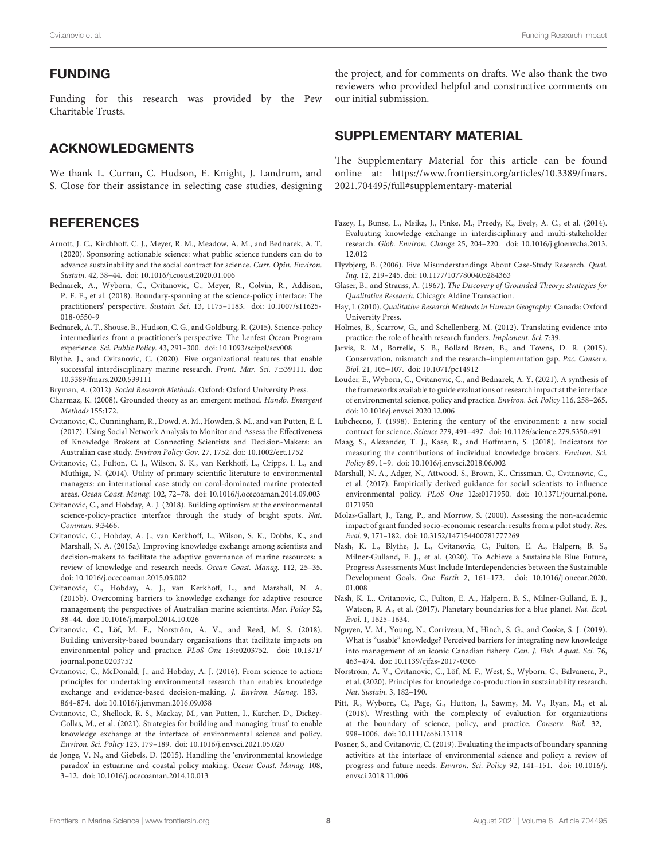#### FUNDING

Funding for this research was provided by the Pew Charitable Trusts.

# ACKNOWLEDGMENTS

We thank L. Curran, C. Hudson, E. Knight, J. Landrum, and S. Close for their assistance in selecting case studies, designing

#### **REFERENCES**

- <span id="page-7-11"></span>Arnott, J. C., Kirchhoff, C. J., Meyer, R. M., Meadow, A. M., and Bednarek, A. T. (2020). Sponsoring actionable science: what public science funders can do to advance sustainability and the social contract for science. Curr. Opin. Environ. Sustain. 42, 38–44. [doi: 10.1016/j.cosust.2020.01.006](https://doi.org/10.1016/j.cosust.2020.01.006)
- <span id="page-7-30"></span>Bednarek, A., Wyborn, C., Cvitanovic, C., Meyer, R., Colvin, R., Addison, P. F. E., et al. (2018). Boundary-spanning at the science-policy interface: The practitioners' perspective. Sustain. Sci. 13, 1175–1183. [doi: 10.1007/s11625-](https://doi.org/10.1007/s11625-018-0550-9) [018-0550-9](https://doi.org/10.1007/s11625-018-0550-9)
- <span id="page-7-5"></span>Bednarek, A. T., Shouse, B., Hudson, C. G., and Goldburg, R. (2015). Science-policy intermediaries from a practitioner's perspective: The Lenfest Ocean Program experience. Sci. Public Policy. 43, 291–300. [doi: 10.1093/scipol/scv008](https://doi.org/10.1093/scipol/scv008)
- <span id="page-7-22"></span>Blythe, J., and Cvitanovic, C. (2020). Five organizational features that enable successful interdisciplinary marine research. Front. Mar. Sci. 7:539111. [doi:](https://doi.org/10.3389/fmars.2020.539111) [10.3389/fmars.2020.539111](https://doi.org/10.3389/fmars.2020.539111)
- <span id="page-7-15"></span>Bryman, A. (2012). Social Research Methods. Oxford: Oxford University Press.
- <span id="page-7-21"></span>Charmaz, K. (2008). Grounded theory as an emergent method. Handb. Emergent Methods 155:172.
- <span id="page-7-8"></span>Cvitanovic, C., Cunningham, R., Dowd, A. M., Howden, S. M., and van Putten, E. I. (2017). Using Social Network Analysis to Monitor and Assess the Effectiveness of Knowledge Brokers at Connecting Scientists and Decision-Makers: an Australian case study. Environ Policy Gov. 27, 1752. [doi: 10.1002/eet.1752](https://doi.org/10.1002/eet.1752)
- <span id="page-7-2"></span>Cvitanovic, C., Fulton, C. J., Wilson, S. K., van Kerkhoff, L., Cripps, I. L., and Muthiga, N. (2014). Utility of primary scientific literature to environmental managers: an international case study on coral-dominated marine protected areas. Ocean Coast. Manag. 102, 72–78. [doi: 10.1016/j.ocecoaman.2014.09.003](https://doi.org/10.1016/j.ocecoaman.2014.09.003)
- <span id="page-7-1"></span>Cvitanovic, C., and Hobday, A. J. (2018). Building optimism at the environmental science-policy-practice interface through the study of bright spots. Nat. Commun. 9:3466.
- <span id="page-7-4"></span>Cvitanovic, C., Hobday, A. J., van Kerkhoff, L., Wilson, S. K., Dobbs, K., and Marshall, N. A. (2015a). Improving knowledge exchange among scientists and decision-makers to facilitate the adaptive governance of marine resources: a review of knowledge and research needs. Ocean Coast. Manag. 112, 25–35. [doi: 10.1016/j.ocecoaman.2015.05.002](https://doi.org/10.1016/j.ocecoaman.2015.05.002)
- <span id="page-7-26"></span>Cvitanovic, C., Hobday, A. J., van Kerkhoff, L., and Marshall, N. A. (2015b). Overcoming barriers to knowledge exchange for adaptive resource management; the perspectives of Australian marine scientists. Mar. Policy 52, 38–44. [doi: 10.1016/j.marpol.2014.10.026](https://doi.org/10.1016/j.marpol.2014.10.026)
- <span id="page-7-7"></span>Cvitanovic, C., Löf, M. F., Norström, A. V., and Reed, M. S. (2018). Building university-based boundary organisations that facilitate impacts on environmental policy and practice. PLoS One 13:e0203752. [doi: 10.1371/](https://doi.org/10.1371/journal.pone.0203752) [journal.pone.0203752](https://doi.org/10.1371/journal.pone.0203752)
- <span id="page-7-16"></span>Cvitanovic, C., McDonald, J., and Hobday, A. J. (2016). From science to action: principles for undertaking environmental research than enables knowledge exchange and evidence-based decision-making. J. Environ. Manag. 183, 864–874. [doi: 10.1016/j.jenvman.2016.09.038](https://doi.org/10.1016/j.jenvman.2016.09.038)
- <span id="page-7-17"></span>Cvitanovic, C., Shellock, R. S., Mackay, M., van Putten, I., Karcher, D., Dickey-Collas, M., et al. (2021). Strategies for building and managing 'trust' to enable knowledge exchange at the interface of environmental science and policy. Environ. Sci. Policy 123, 179–189. [doi: 10.1016/j.envsci.2021.05.020](https://doi.org/10.1016/j.envsci.2021.05.020)
- <span id="page-7-0"></span>de Jonge, V. N., and Giebels, D. (2015). Handling the 'environmental knowledge paradox' in estuarine and coastal policy making. Ocean Coast. Manag. 108, 3–12. [doi: 10.1016/j.ocecoaman.2014.10.013](https://doi.org/10.1016/j.ocecoaman.2014.10.013)

the project, and for comments on drafts. We also thank the two reviewers who provided helpful and constructive comments on our initial submission.

#### <span id="page-7-13"></span>SUPPLEMENTARY MATERIAL

The Supplementary Material for this article can be found online at: [https://www.frontiersin.org/articles/10.3389/fmars.](https://www.frontiersin.org/articles/10.3389/fmars.2021.704495/full#supplementary-material) [2021.704495/full#supplementary-material](https://www.frontiersin.org/articles/10.3389/fmars.2021.704495/full#supplementary-material)

- <span id="page-7-28"></span>Fazey, I., Bunse, L., Msika, J., Pinke, M., Preedy, K., Evely, A. C., et al. (2014). Evaluating knowledge exchange in interdisciplinary and multi-stakeholder research. Glob. Environ. Change 25, 204–220. [doi: 10.1016/j.gloenvcha.2013.](https://doi.org/10.1016/j.gloenvcha.2013.12.012) [12.012](https://doi.org/10.1016/j.gloenvcha.2013.12.012)
- <span id="page-7-12"></span>Flyvbjerg, B. (2006). Five Misunderstandings About Case-Study Research. Qual. Inq. 12, 219–245. [doi: 10.1177/1077800405284363](https://doi.org/10.1177/1077800405284363)
- <span id="page-7-20"></span>Glaser, B., and Strauss, A. (1967). The Discovery of Grounded Theory: strategies for Qualitative Research. Chicago: Aldine Transaction.
- <span id="page-7-14"></span>Hay, I. (2010). Qualitative Research Methods in Human Geography. Canada: Oxford University Press.
- <span id="page-7-10"></span>Holmes, B., Scarrow, G., and Schellenberg, M. (2012). Translating evidence into practice: the role of health research funders. Implement. Sci. 7:39.
- <span id="page-7-6"></span>Jarvis, R. M., Borrelle, S. B., Bollard Breen, B., and Towns, D. R. (2015). Conservation, mismatch and the research–implementation gap. Pac. Conserv. Biol. 21, 105–107. [doi: 10.1071/pc14912](https://doi.org/10.1071/pc14912)
- <span id="page-7-19"></span>Louder, E., Wyborn, C., Cvitanovic, C., and Bednarek, A. Y. (2021). A synthesis of the frameworks available to guide evaluations of research impact at the interface of environmental science, policy and practice. Environ. Sci. Policy 116, 258–265. [doi: 10.1016/j.envsci.2020.12.006](https://doi.org/10.1016/j.envsci.2020.12.006)
- <span id="page-7-25"></span>Lubchecno, J. (1998). Entering the century of the environment: a new social contract for science. Science 279, 491–497. [doi: 10.1126/science.279.5350.491](https://doi.org/10.1126/science.279.5350.491)
- <span id="page-7-29"></span>Maag, S., Alexander, T. J., Kase, R., and Hoffmann, S. (2018). Indicators for measuring the contributions of individual knowledge brokers. Environ. Sci. Policy 89, 1–9. [doi: 10.1016/j.envsci.2018.06.002](https://doi.org/10.1016/j.envsci.2018.06.002)
- <span id="page-7-18"></span>Marshall, N. A., Adger, N., Attwood, S., Brown, K., Crissman, C., Cvitanovic, C., et al. (2017). Empirically derived guidance for social scientists to influence environmental policy. PLoS One 12:e0171950. [doi: 10.1371/journal.pone.](https://doi.org/10.1371/journal.pone.0171950) [0171950](https://doi.org/10.1371/journal.pone.0171950)
- <span id="page-7-27"></span>Molas-Gallart, J., Tang, P., and Morrow, S. (2000). Assessing the non-academic impact of grant funded socio-economic research: results from a pilot study. Res. Eval. 9, 171–182. [doi: 10.3152/147154400781777269](https://doi.org/10.3152/147154400781777269)
- <span id="page-7-24"></span>Nash, K. L., Blythe, J. L., Cvitanovic, C., Fulton, E. A., Halpern, B. S., Milner-Gulland, E. J., et al. (2020). To Achieve a Sustainable Blue Future, Progress Assessments Must Include Interdependencies between the Sustainable Development Goals. One Earth 2, 161–173. [doi: 10.1016/j.oneear.2020.](https://doi.org/10.1016/j.oneear.2020.01.008) [01.008](https://doi.org/10.1016/j.oneear.2020.01.008)
- <span id="page-7-23"></span>Nash, K. L., Cvitanovic, C., Fulton, E. A., Halpern, B. S., Milner-Gulland, E. J., Watson, R. A., et al. (2017). Planetary boundaries for a blue planet. Nat. Ecol. Evol. 1, 1625–1634.
- <span id="page-7-3"></span>Nguyen, V. M., Young, N., Corriveau, M., Hinch, S. G., and Cooke, S. J. (2019). What is "usable" knowledge? Perceived barriers for integrating new knowledge into management of an iconic Canadian fishery. Can. J. Fish. Aquat. Sci. 76, 463–474. [doi: 10.1139/cjfas-2017-0305](https://doi.org/10.1139/cjfas-2017-0305)
- <span id="page-7-9"></span>Norström, A. V., Cvitanovic, C., Löf, M. F., West, S., Wyborn, C., Balvanera, P., et al. (2020). Principles for knowledge co-production in sustainability research. Nat. Sustain. 3, 182–190.
- <span id="page-7-32"></span>Pitt, R., Wyborn, C., Page, G., Hutton, J., Sawmy, M. V., Ryan, M., et al. (2018). Wrestling with the complexity of evaluation for organizations at the boundary of science, policy, and practice. Conserv. Biol. 32, 998–1006. [doi: 10.1111/cobi.13118](https://doi.org/10.1111/cobi.13118)
- <span id="page-7-31"></span>Posner, S., and Cvitanovic, C. (2019). Evaluating the impacts of boundary spanning activities at the interface of environmental science and policy: a review of progress and future needs. Environ. Sci. Policy 92, 141–151. [doi: 10.1016/j.](https://doi.org/10.1016/j.envsci.2018.11.006) [envsci.2018.11.006](https://doi.org/10.1016/j.envsci.2018.11.006)